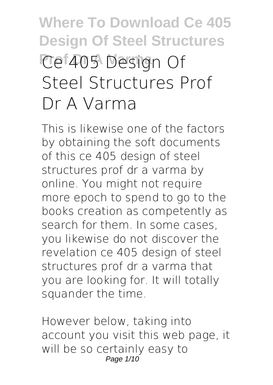# **Where To Download Ce 405 Design Of Steel Structures Prof 405 Design Of Steel Structures Prof Dr A Varma**

This is likewise one of the factors by obtaining the soft documents of this **ce 405 design of steel structures prof dr a varma** by online. You might not require more epoch to spend to go to the books creation as competently as search for them. In some cases, you likewise do not discover the revelation ce 405 design of steel structures prof dr a varma that you are looking for. It will totally squander the time.

However below, taking into account you visit this web page, it will be so certainly easy to Page 1/10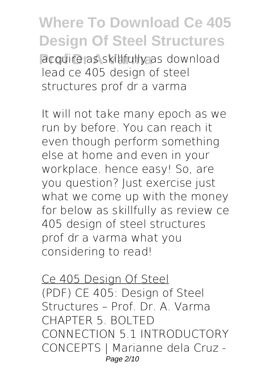**Proposition** as skillfully as download lead ce 405 design of steel structures prof dr a varma

It will not take many epoch as we run by before. You can reach it even though perform something else at home and even in your workplace. hence easy! So, are you question? Just exercise just what we come up with the money for below as skillfully as review **ce 405 design of steel structures prof dr a varma** what you considering to read!

Ce 405 Design Of Steel (PDF) CE 405: Design of Steel Structures – Prof. Dr. A. Varma CHAPTER 5. BOLTED CONNECTION 5.1 INTRODUCTORY CONCEPTS | Marianne dela Cruz - Page 2/10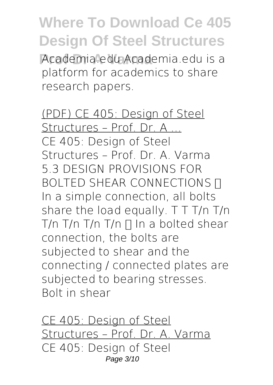**Academia.edu Academia.edu is a** platform for academics to share research papers.

(PDF) CE 405: Design of Steel Structures – Prof. Dr. A ... CE 405: Design of Steel Structures – Prof. Dr. A. Varma 5.3 DESIGN PROVISIONS FOR BOLTED SHEAR CONNECTIONS **n** In a simple connection, all bolts share the load equally. T T T/n T/n T/n T/n T/n T/n  $\prod$  In a bolted shear connection, the bolts are subjected to shear and the connecting / connected plates are subjected to bearing stresses. Bolt in shear

CE 405: Design of Steel Structures – Prof. Dr. A. Varma CE 405: Design of Steel Page 3/10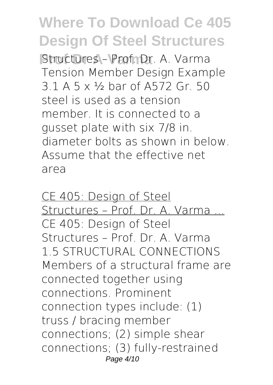**Structures – Prof. Dr. A. Varma** Tension Member Design Example 3.1 A 5 x ½ bar of A572 Gr. 50 steel is used as a tension member. It is connected to a gusset plate with six 7/8 in. diameter bolts as shown in below. Assume that the effective net area

CE 405: Design of Steel Structures – Prof. Dr. A. Varma ... CE 405: Design of Steel Structures – Prof. Dr. A. Varma 1.5 STRUCTURAL CONNECTIONS Members of a structural frame are connected together using connections. Prominent connection types include: (1) truss / bracing member connections; (2) simple shear connections; (3) fully-restrained Page 4/10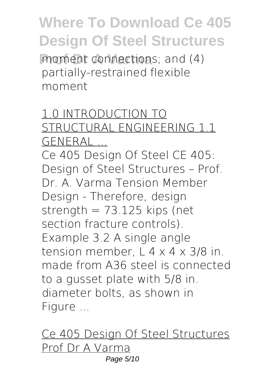**Proment connections**; and (4) partially-restrained flexible moment

#### 1.0 INTRODUCTION TO STRUCTURAL ENGINEERING 1.1 **GENERAL**

Ce 405 Design Of Steel CE 405: Design of Steel Structures – Prof. Dr. A. Varma Tension Member Design - Therefore, design strength  $= 73.125$  kips (net section fracture controls). Example 3.2 A single angle tension member,  $L$  4  $\times$  4  $\times$  3/8 in. made from A36 steel is connected to a gusset plate with 5/8 in. diameter bolts, as shown in Figure ...

Ce 405 Design Of Steel Structures Prof Dr A Varma Page 5/10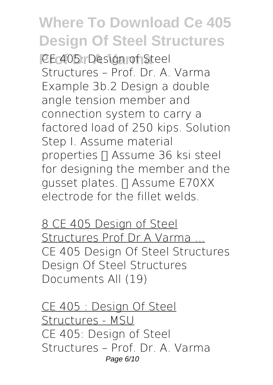**CE 405: Design of Steel** Structures – Prof. Dr. A. Varma Example 3b.2 Design a double angle tension member and connection system to carry a factored load of 250 kips. Solution Step I. Assume material properties I Assume 36 ksi steel for designing the member and the gusset plates. ∏ Assume E70XX electrode for the fillet welds.

8 CE 405 Design of Steel Structures Prof Dr A Varma ... CE 405 Design Of Steel Structures Design Of Steel Structures Documents All (19)

CE 405 : Design Of Steel Structures - MSU CE 405: Design of Steel Structures – Prof. Dr. A. Varma Page 6/10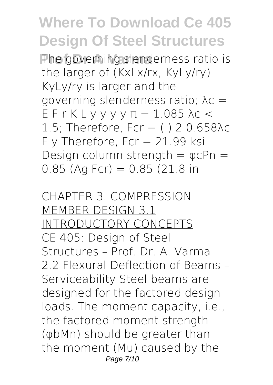The governing slenderness ratio is the larger of (KxLx/rx, KyLy/ry) KyLy/ry is larger and the governing slenderness ratio; λc = E F r K L y y y y π = 1.085 λc < 1.5: Therefore, Fcr =  $( ) 2 0.658$ λc  $F$  y Therefore, Fcr = 21.99 ksi Design column strength  $=$   $\varphi$ cPn  $=$  $0.85$  (Ag Fcr) =  $0.85$  (21.8 in

CHAPTER 3. COMPRESSION MEMBER DESIGN 3.1 INTRODUCTORY CONCEPTS CE 405: Design of Steel Structures – Prof. Dr. A. Varma 2.2 Flexural Deflection of Beams – Serviceability Steel beams are designed for the factored design loads. The moment capacity, i.e., the factored moment strength (φbMn) should be greater than the moment (Mu) caused by the Page 7/10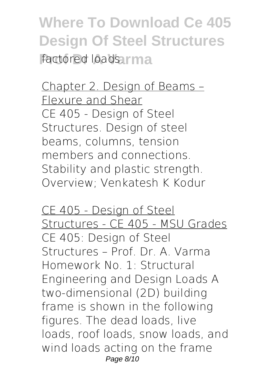**Where To Download Ce 405 Design Of Steel Structures Factored loads.rma** 

Chapter 2. Design of Beams – Flexure and Shear CE 405 - Design of Steel Structures. Design of steel beams, columns, tension members and connections. Stability and plastic strength. Overview; Venkatesh K Kodur

CE 405 - Design of Steel Structures - CE 405 - MSU Grades CE 405: Design of Steel Structures – Prof. Dr. A. Varma Homework No. 1: Structural Engineering and Design Loads A two-dimensional (2D) building frame is shown in the following figures. The dead loads, live loads, roof loads, snow loads, and wind loads acting on the frame Page 8/10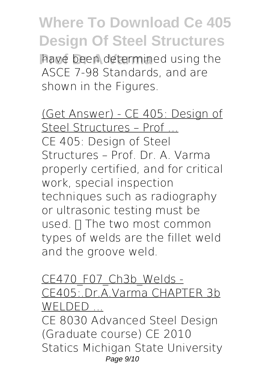have been determined using the ASCE 7-98 Standards, and are shown in the Figures.

(Get Answer) - CE 405: Design of Steel Structures – Prof ... CE 405: Design of Steel Structures – Prof. Dr. A. Varma properly certified, and for critical work, special inspection techniques such as radiography or ultrasonic testing must be used.  $\Pi$  The two most common types of welds are the fillet weld and the groove weld.

#### CE470 F07 Ch3b Welds -CE405:.Dr.A.Varma CHAPTER 3b WELDED ...

CE 8030 Advanced Steel Design (Graduate course) CE 2010 Statics Michigan State University Page 9/10